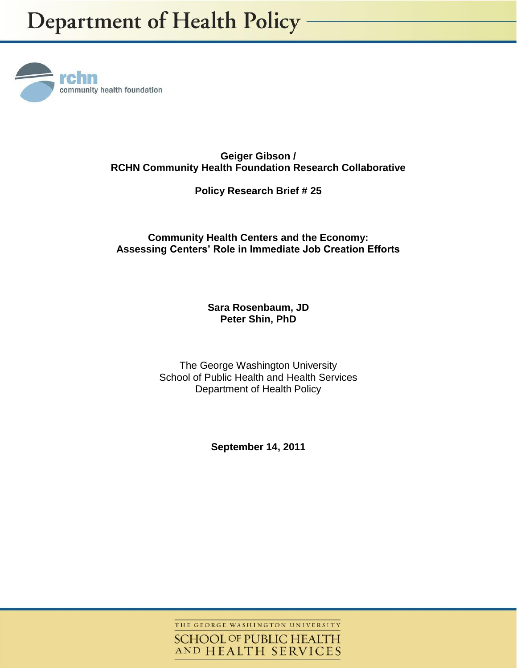

**Geiger Gibson / RCHN Community Health Foundation Research Collaborative**

**Policy Research Brief # 25**

# **Community Health Centers and the Economy: Assessing Centers' Role in Immediate Job Creation Efforts**

## **Sara Rosenbaum, JD Peter Shin, PhD**

The George Washington University School of Public Health and Health Services Department of Health Policy

**September 14, 2011**

THE GEORGE WASHINGTON UNIVERSITY

**SCHOOL OF PUBLIC HEALTH** AND HEALTH SERVICES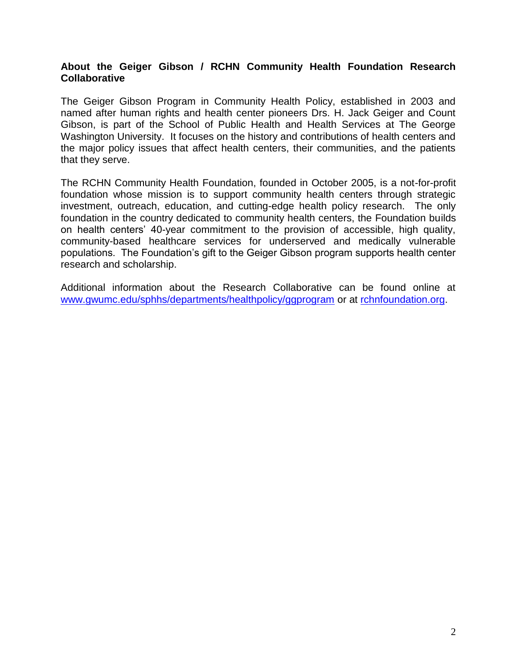### **About the Geiger Gibson / RCHN Community Health Foundation Research Collaborative**

The Geiger Gibson Program in Community Health Policy, established in 2003 and named after human rights and health center pioneers Drs. H. Jack Geiger and Count Gibson, is part of the School of Public Health and Health Services at The George Washington University. It focuses on the history and contributions of health centers and the major policy issues that affect health centers, their communities, and the patients that they serve.

The RCHN Community Health Foundation, founded in October 2005, is a not-for-profit foundation whose mission is to support community health centers through strategic investment, outreach, education, and cutting-edge health policy research. The only foundation in the country dedicated to community health centers, the Foundation builds on health centers' 40-year commitment to the provision of accessible, high quality, community-based healthcare services for underserved and medically vulnerable populations. The Foundation's gift to the Geiger Gibson program supports health center research and scholarship.

Additional information about the Research Collaborative can be found online at [www.gwumc.edu/sphhs/departments/healthpolicy/ggprogram](http://www.gwumc.edu/sphhs/departments/healthpolicy/ggprogram) or at [rchnfoundation.org.](http://www.rchnfoundation.org/)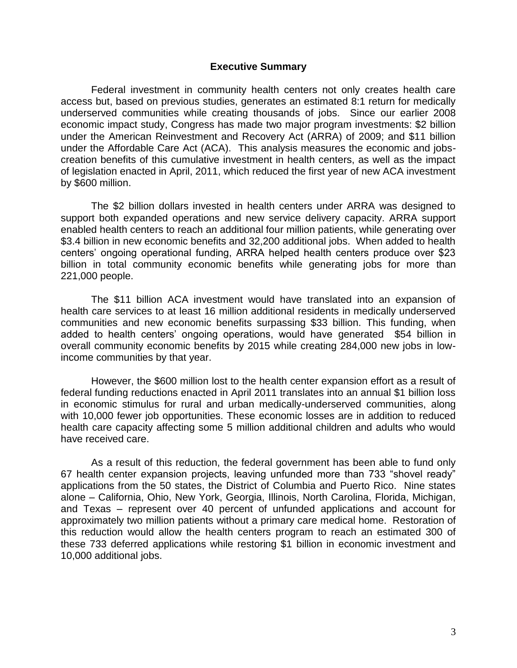#### **Executive Summary**

Federal investment in community health centers not only creates health care access but, based on previous studies, generates an estimated 8:1 return for medically underserved communities while creating thousands of jobs. Since our earlier 2008 economic impact study, Congress has made two major program investments: \$2 billion under the American Reinvestment and Recovery Act (ARRA) of 2009; and \$11 billion under the Affordable Care Act (ACA). This analysis measures the economic and jobscreation benefits of this cumulative investment in health centers, as well as the impact of legislation enacted in April, 2011, which reduced the first year of new ACA investment by \$600 million.

The \$2 billion dollars invested in health centers under ARRA was designed to support both expanded operations and new service delivery capacity. ARRA support enabled health centers to reach an additional four million patients, while generating over \$3.4 billion in new economic benefits and 32,200 additional jobs. When added to health centers' ongoing operational funding, ARRA helped health centers produce over \$23 billion in total community economic benefits while generating jobs for more than 221,000 people.

The \$11 billion ACA investment would have translated into an expansion of health care services to at least 16 million additional residents in medically underserved communities and new economic benefits surpassing \$33 billion. This funding, when added to health centers' ongoing operations, would have generated \$54 billion in overall community economic benefits by 2015 while creating 284,000 new jobs in lowincome communities by that year.

However, the \$600 million lost to the health center expansion effort as a result of federal funding reductions enacted in April 2011 translates into an annual \$1 billion loss in economic stimulus for rural and urban medically-underserved communities, along with 10,000 fewer job opportunities. These economic losses are in addition to reduced health care capacity affecting some 5 million additional children and adults who would have received care.

As a result of this reduction, the federal government has been able to fund only 67 health center expansion projects, leaving unfunded more than 733 "shovel ready" applications from the 50 states, the District of Columbia and Puerto Rico. Nine states alone – California, Ohio, New York, Georgia, Illinois, North Carolina, Florida, Michigan, and Texas – represent over 40 percent of unfunded applications and account for approximately two million patients without a primary care medical home. Restoration of this reduction would allow the health centers program to reach an estimated 300 of these 733 deferred applications while restoring \$1 billion in economic investment and 10,000 additional jobs.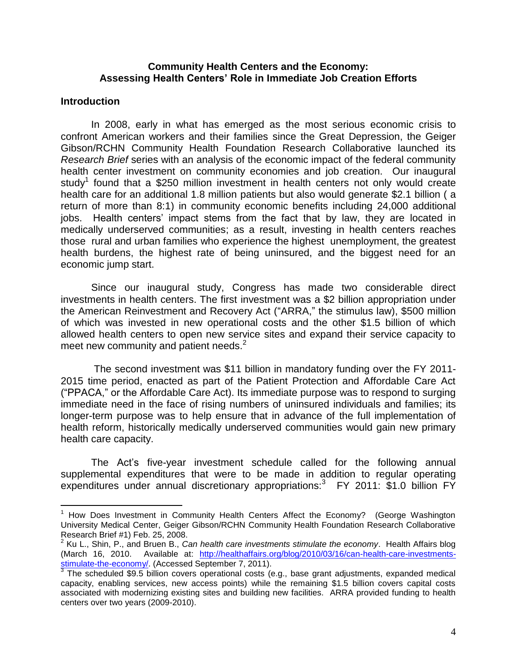### **Community Health Centers and the Economy: Assessing Health Centers' Role in Immediate Job Creation Efforts**

### **Introduction**

 $\overline{a}$ 

In 2008, early in what has emerged as the most serious economic crisis to confront American workers and their families since the Great Depression, the Geiger Gibson/RCHN Community Health Foundation Research Collaborative launched its *Research Brief* series with an analysis of the economic impact of the federal community health center investment on community economies and job creation. Our inaugural study<sup>1</sup> found that a \$250 million investment in health centers not only would create health care for an additional 1.8 million patients but also would generate \$2.1 billion (a return of more than 8:1) in community economic benefits including 24,000 additional jobs. Health centers' impact stems from the fact that by law, they are located in medically underserved communities; as a result, investing in health centers reaches those rural and urban families who experience the highest unemployment, the greatest health burdens, the highest rate of being uninsured, and the biggest need for an economic jump start.

Since our inaugural study, Congress has made two considerable direct investments in health centers. The first investment was a \$2 billion appropriation under the American Reinvestment and Recovery Act ("ARRA," the stimulus law), \$500 million of which was invested in new operational costs and the other \$1.5 billion of which allowed health centers to open new service sites and expand their service capacity to meet new community and patient needs. $2$ 

The second investment was \$11 billion in mandatory funding over the FY 2011- 2015 time period, enacted as part of the Patient Protection and Affordable Care Act ("PPACA," or the Affordable Care Act). Its immediate purpose was to respond to surging immediate need in the face of rising numbers of uninsured individuals and families; its longer-term purpose was to help ensure that in advance of the full implementation of health reform, historically medically underserved communities would gain new primary health care capacity.

The Act's five-year investment schedule called for the following annual supplemental expenditures that were to be made in addition to regular operating expenditures under annual discretionary appropriations:<sup>3</sup> FY 2011: \$1.0 billion FY

<sup>&</sup>lt;sup>1</sup> How Does Investment in Community Health Centers Affect the Economy? (George Washington University Medical Center, Geiger Gibson/RCHN Community Health Foundation Research Collaborative Research Brief #1) Feb. 25, 2008.

<sup>2</sup> Ku L., Shin, P., and Bruen B., *Can health care investments stimulate the economy*. Health Affairs blog (March 16, 2010. Available at: [http://healthaffairs.org/blog/2010/03/16/can-health-care-investments-](http://healthaffairs.org/blog/2010/03/16/can-health-care-investments-stimulate-the-economy/)<u>stimulate-the-economy/</u>. (Accessed September 7, 2011).<br><sup>3</sup> The scheduled \$9.5 billion covers operational costs (e.g., base grant adjustments, expanded medical

capacity, enabling services, new access points) while the remaining \$1.5 billion covers capital costs associated with modernizing existing sites and building new facilities. ARRA provided funding to health centers over two years (2009-2010).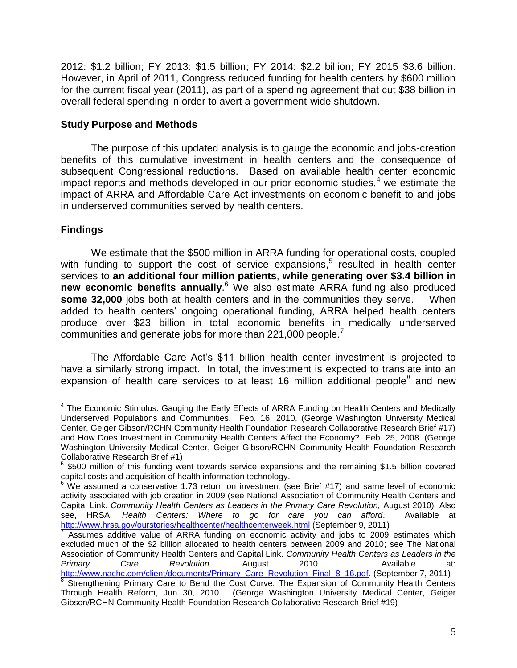2012: \$1.2 billion; FY 2013: \$1.5 billion; FY 2014: \$2.2 billion; FY 2015 \$3.6 billion. However, in April of 2011, Congress reduced funding for health centers by \$600 million for the current fiscal year (2011), as part of a spending agreement that cut \$38 billion in overall federal spending in order to avert a government-wide shutdown.

## **Study Purpose and Methods**

The purpose of this updated analysis is to gauge the economic and jobs-creation benefits of this cumulative investment in health centers and the consequence of subsequent Congressional reductions. Based on available health center economic  $im$  reports and methods developed in our prior economic studies, $4$  we estimate the impact of ARRA and Affordable Care Act investments on economic benefit to and jobs in underserved communities served by health centers.

# **Findings**

We estimate that the \$500 million in ARRA funding for operational costs, coupled with funding to support the cost of service expansions,<sup>5</sup> resulted in health center services to **an additional four million patients**, **while generating over \$3.4 billion in new economic benefits annually**. <sup>6</sup> We also estimate ARRA funding also produced **some 32,000** jobs both at health centers and in the communities they serve. When added to health centers' ongoing operational funding, ARRA helped health centers produce over \$23 billion in total economic benefits in medically underserved communities and generate jobs for more than 221,000 people.<sup>7</sup>

The Affordable Care Act's \$11 billion health center investment is projected to have a similarly strong impact. In total, the investment is expected to translate into an expansion of health care services to at least 16 million additional people $8$  and new

 $\overline{a}$ <sup>4</sup> The Economic Stimulus: Gauging the Early Effects of ARRA Funding on Health Centers and Medically Underserved Populations and Communities. Feb. 16, 2010, (George Washington University Medical Center, Geiger Gibson/RCHN Community Health Foundation Research Collaborative Research Brief #17) and How Does Investment in Community Health Centers Affect the Economy? Feb. 25, 2008. (George Washington University Medical Center, Geiger Gibson/RCHN Community Health Foundation Research Collaborative Research Brief #1)

 $5$  \$500 million of this funding went towards service expansions and the remaining \$1.5 billion covered capital costs and acquisition of health information technology.

 $6$  We assumed a conservative 1.73 return on investment (see Brief #17) and same level of economic activity associated with job creation in 2009 (see National Association of Community Health Centers and Capital Link. *Community Health Centers as Leaders in the Primary Care Revolution,* August 2010)*.* Also see, HRSA, *Health Centers: Where to go for care you can afford*. Available at <http://www.hrsa.gov/ourstories/healthcenter/healthcenterweek.html> (September 9, 2011)<br>7. Appumes, edditive velue of ABBA funding ap economic activity and inhe to 2000

Assumes additive value of ARRA funding on economic activity and jobs to 2009 estimates which excluded much of the \$2 billion allocated to health centers between 2009 and 2010; see The National Association of Community Health Centers and Capital Link. *Community Health Centers as Leaders in the Primary Care Revolution.* August 2010. Available at: [http://www.nachc.com/client/documents/Primary\\_Care\\_Revolution\\_Final\\_8\\_16.pdf.](http://www.nachc.com/client/documents/Primary_Care_Revolution_Final_8_16.pdf) (September 7, 2011) <sup>8</sup> Strengthening Primary Care to Bend the Cost Curve: The Expansion of Community Health Centers

Through Health Reform, Jun 30, 2010. (George Washington University Medical Center, Geiger Gibson/RCHN Community Health Foundation Research Collaborative Research Brief #19)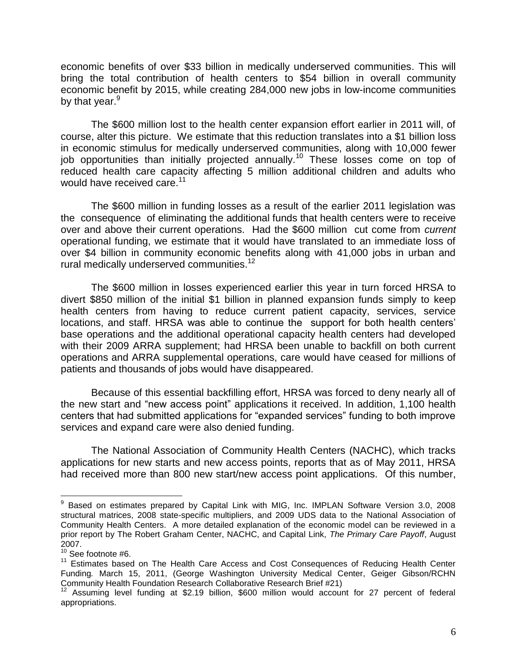economic benefits of over \$33 billion in medically underserved communities. This will bring the total contribution of health centers to \$54 billion in overall community economic benefit by 2015, while creating 284,000 new jobs in low-income communities by that year.<sup>9</sup>

The \$600 million lost to the health center expansion effort earlier in 2011 will, of course, alter this picture. We estimate that this reduction translates into a \$1 billion loss in economic stimulus for medically underserved communities, along with 10,000 fewer job opportunities than initially projected annually.<sup>10</sup> These losses come on top of reduced health care capacity affecting 5 million additional children and adults who would have received care.<sup>11</sup>

The \$600 million in funding losses as a result of the earlier 2011 legislation was the consequence of eliminating the additional funds that health centers were to receive over and above their current operations. Had the \$600 million cut come from *current* operational funding, we estimate that it would have translated to an immediate loss of over \$4 billion in community economic benefits along with 41,000 jobs in urban and rural medically underserved communities.<sup>12</sup>

The \$600 million in losses experienced earlier this year in turn forced HRSA to divert \$850 million of the initial \$1 billion in planned expansion funds simply to keep health centers from having to reduce current patient capacity, services, service locations, and staff. HRSA was able to continue the support for both health centers' base operations and the additional operational capacity health centers had developed with their 2009 ARRA supplement; had HRSA been unable to backfill on both current operations and ARRA supplemental operations, care would have ceased for millions of patients and thousands of jobs would have disappeared.

Because of this essential backfilling effort, HRSA was forced to deny nearly all of the new start and "new access point" applications it received. In addition, 1,100 health centers that had submitted applications for "expanded services" funding to both improve services and expand care were also denied funding.

The National Association of Community Health Centers (NACHC), which tracks applications for new starts and new access points, reports that as of May 2011, HRSA had received more than 800 new start/new access point applications. Of this number,

 $\overline{a}$ 

<sup>&</sup>lt;sup>9</sup> Based on estimates prepared by Capital Link with MIG, Inc. IMPLAN Software Version 3.0, 2008 structural matrices, 2008 state-specific multipliers, and 2009 UDS data to the National Association of Community Health Centers. A more detailed explanation of the economic model can be reviewed in a prior report by The Robert Graham Center, NACHC, and Capital Link, *The Primary Care Payoff*, August 2007.

<sup>&</sup>lt;sup>10</sup> See footnote #6.

<sup>&</sup>lt;sup>11</sup> Estimates based on The Health Care Access and Cost Consequences of Reducing Health Center Funding*.* March 15, 2011, (George Washington University Medical Center, Geiger Gibson/RCHN Community Health Foundation Research Collaborative Research Brief #21)

<sup>12</sup> Assuming level funding at \$2.19 billion, \$600 million would account for 27 percent of federal appropriations.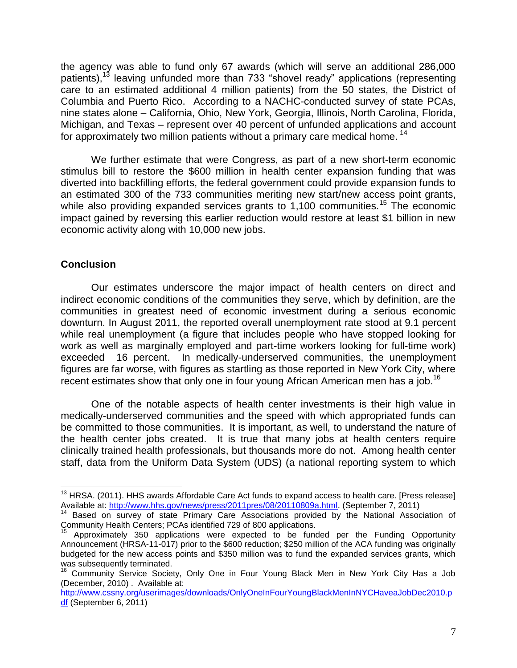the agency was able to fund only 67 awards (which will serve an additional 286,000 patients),<sup>13</sup> leaving unfunded more than 733 "shovel ready" applications (representing care to an estimated additional 4 million patients) from the 50 states, the District of Columbia and Puerto Rico. According to a NACHC-conducted survey of state PCAs, nine states alone – California, Ohio, New York, Georgia, Illinois, North Carolina, Florida, Michigan, and Texas – represent over 40 percent of unfunded applications and account for approximately two million patients without a primary care medical home.<sup>14</sup>

We further estimate that were Congress, as part of a new short-term economic stimulus bill to restore the \$600 million in health center expansion funding that was diverted into backfilling efforts, the federal government could provide expansion funds to an estimated 300 of the 733 communities meriting new start/new access point grants, while also providing expanded services grants to  $1,100$  communities.<sup>15</sup> The economic impact gained by reversing this earlier reduction would restore at least \$1 billion in new economic activity along with 10,000 new jobs.

#### **Conclusion**

 $\overline{a}$ 

Our estimates underscore the major impact of health centers on direct and indirect economic conditions of the communities they serve, which by definition, are the communities in greatest need of economic investment during a serious economic downturn. In August 2011, the reported overall unemployment rate stood at 9.1 percent while real unemployment (a figure that includes people who have stopped looking for work as well as marginally employed and part-time workers looking for full-time work) exceeded 16 percent. In medically-underserved communities, the unemployment figures are far worse, with figures as startling as those reported in New York City, where recent estimates show that only one in four young African American men has a job.<sup>16</sup>

One of the notable aspects of health center investments is their high value in medically-underserved communities and the speed with which appropriated funds can be committed to those communities. It is important, as well, to understand the nature of the health center jobs created. It is true that many jobs at health centers require clinically trained health professionals, but thousands more do not. Among health center staff, data from the Uniform Data System (UDS) (a national reporting system to which

<sup>&</sup>lt;sup>13</sup> HRSA. (2011). HHS awards Affordable Care Act funds to expand access to health care. [Press release] Available at: [http://www.hhs.gov/news/press/2011pres/08/20110809a.html.](http://www.hhs.gov/news/press/2011pres/08/20110809a.html) (September 7, 2011)

Based on survey of state Primary Care Associations provided by the National Association of Community Health Centers; PCAs identified 729 of 800 applications.

Approximately 350 applications were expected to be funded per the Funding Opportunity Announcement (HRSA-11-017) prior to the \$600 reduction; \$250 million of the ACA funding was originally budgeted for the new access points and \$350 million was to fund the expanded services grants, which was subsequently terminated.

<sup>&</sup>lt;sup>16</sup> Community Service Society, Only One in Four Young Black Men in New York City Has a Job (December, 2010) . Available at:

[http://www.cssny.org/userimages/downloads/OnlyOneInFourYoungBlackMenInNYCHaveaJobDec2010.p](http://www.cssny.org/userimages/downloads/OnlyOneInFourYoungBlackMenInNYCHaveaJobDec2010.pdf) [df](http://www.cssny.org/userimages/downloads/OnlyOneInFourYoungBlackMenInNYCHaveaJobDec2010.pdf) (September 6, 2011)